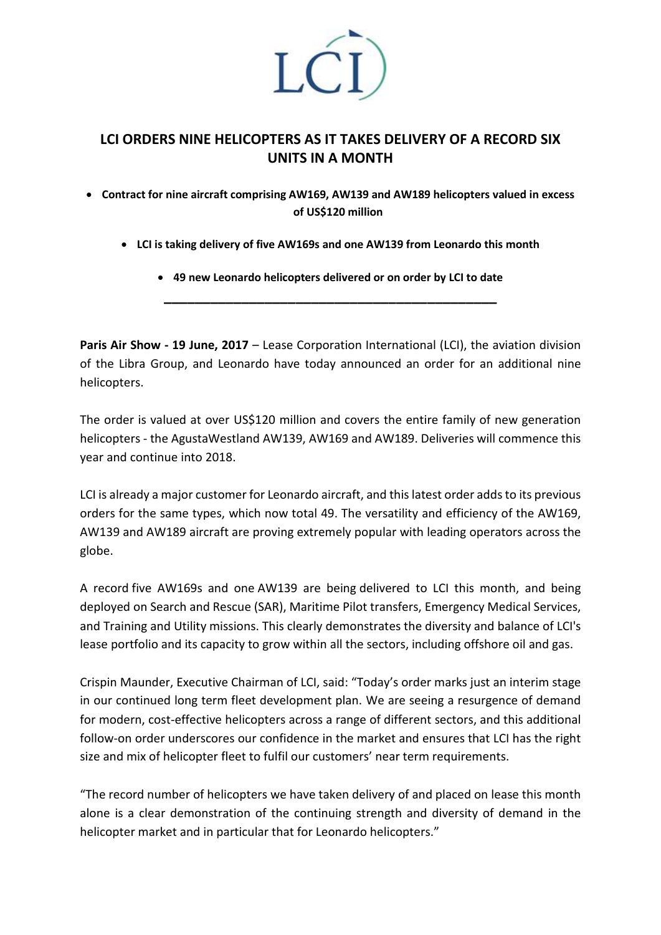

## **LCI ORDERS NINE HELICOPTERS AS IT TAKES DELIVERY OF A RECORD SIX UNITS IN A MONTH**

• **Contract for nine aircraft comprising AW169, AW139 and AW189 helicopters valued in excess of US\$120 million**

- **LCI is taking delivery of five AW169s and one AW139 from Leonardo this month**
	- **49 new Leonardo helicopters delivered or on order by LCI to date \_\_\_\_\_\_\_\_\_\_\_\_\_\_\_\_\_\_\_\_\_\_\_\_\_\_\_\_\_\_\_\_\_\_\_\_\_\_\_\_\_\_\_**

**Paris Air Show - 19 June, 2017** – Lease Corporation International (LCI), the aviation division of the Libra Group, and Leonardo have today announced an order for an additional nine helicopters.

The order is valued at over US\$120 million and covers the entire family of new generation helicopters - the AgustaWestland AW139, AW169 and AW189. Deliveries will commence this year and continue into 2018.

LCI is already a major customer for Leonardo aircraft, and this latest order adds to its previous orders for the same types, which now total 49. The versatility and efficiency of the AW169, AW139 and AW189 aircraft are proving extremely popular with leading operators across the globe.

A record five AW169s and one AW139 are being delivered to LCI this month, and being deployed on Search and Rescue (SAR), Maritime Pilot transfers, Emergency Medical Services, and Training and Utility missions. This clearly demonstrates the diversity and balance of LCI's lease portfolio and its capacity to grow within all the sectors, including offshore oil and gas.

Crispin Maunder, Executive Chairman of LCI, said: "Today's order marks just an interim stage in our continued long term fleet development plan. We are seeing a resurgence of demand for modern, cost-effective helicopters across a range of different sectors, and this additional follow-on order underscores our confidence in the market and ensures that LCI has the right size and mix of helicopter fleet to fulfil our customers' near term requirements.

"The record number of helicopters we have taken delivery of and placed on lease this month alone is a clear demonstration of the continuing strength and diversity of demand in the helicopter market and in particular that for Leonardo helicopters."